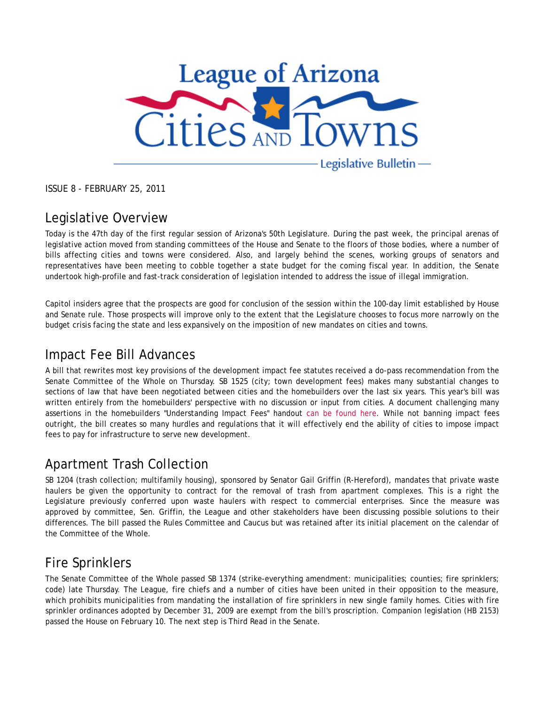

ISSUE 8 - FEBRUARY 25, 2011

#### Legislative Overview

Today is the 47th day of the first regular session of Arizona's 50th Legislature. During the past week, the principal arenas of legislative action moved from standing committees of the House and Senate to the floors of those bodies, where a number of bills affecting cities and towns were considered. Also, and largely behind the scenes, working groups of senators and representatives have been meeting to cobble together a state budget for the coming fiscal year. In addition, the Senate undertook high-profile and fast-track consideration of legislation intended to address the issue of illegal immigration.

Capitol insiders agree that the prospects are good for conclusion of the session within the 100-day limit established by House and Senate rule. Those prospects will improve only to the extent that the Legislature chooses to focus more narrowly on the budget crisis facing the state and less expansively on the imposition of new mandates on cities and towns.

#### Impact Fee Bill Advances

A bill that rewrites most key provisions of the development impact fee statutes received a do-pass recommendation from the Senate Committee of the Whole on Thursday. SB 1525 (city; town development fees) makes many substantial changes to sections of law that have been negotiated between cities and the homebuilders over the last six years. This year's bill was written entirely from the homebuilders' perspective with no discussion or input from cities. A document challenging many assertions in the homebuilders "Understanding Impact Fees" handout can be found here. While not banning impact fees outright, the bill creates so many hurdles and regulations that it will effectively end the ability of cities to impose impact fees to pay for infrastructure to serve new development.

#### Apartment Trash Collection

SB 1204 (trash collection; multifamily housing), sponsored by Senator Gail Griffin (R-Hereford), mandates that private waste haulers be given the opportunity to contract for the removal of trash from apartment complexes. This is a right the Legislature previously conferred upon waste haulers with respect to commercial enterprises. Since the measure was approved by committee, Sen. Griffin, the League and other stakeholders have been discussing possible solutions to their differences. The bill passed the Rules Committee and Caucus but was retained after its initial placement on the calendar of the Committee of the Whole.

## Fire Sprinklers

The Senate Committee of the Whole passed SB 1374 (strike-everything amendment: municipalities; counties; fire sprinklers; code) late Thursday. The League, fire chiefs and a number of cities have been united in their opposition to the measure, which prohibits municipalities from mandating the installation of fire sprinklers in new single family homes. Cities with fire sprinkler ordinances adopted by December 31, 2009 are exempt from the bill's proscription. Companion legislation (HB 2153) passed the House on February 10. The next step is Third Read in the Senate.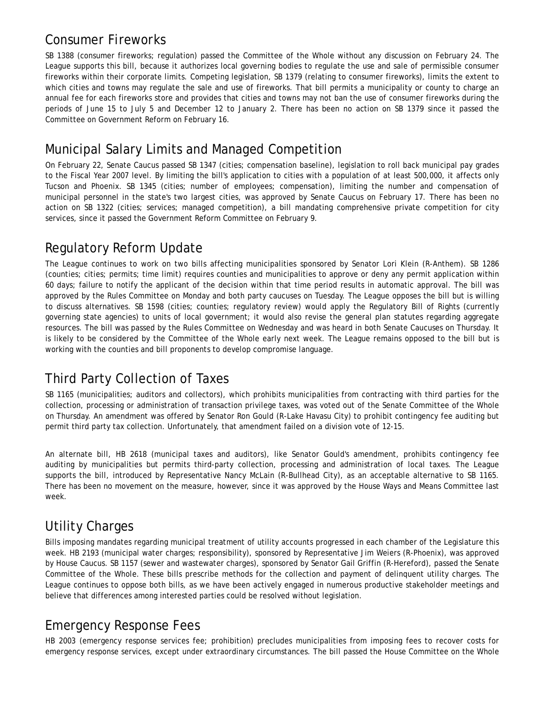#### Consumer Fireworks

SB 1388 (consumer fireworks; regulation) passed the Committee of the Whole without any discussion on February 24. The League supports this bill, because it authorizes local governing bodies to regulate the use and sale of permissible consumer fireworks within their corporate limits. Competing legislation, SB 1379 (relating to consumer fireworks), limits the extent to which cities and towns may regulate the sale and use of fireworks. That bill permits a municipality or county to charge an annual fee for each fireworks store and provides that cities and towns may not ban the use of consumer fireworks during the periods of June 15 to July 5 and December 12 to January 2. There has been no action on SB 1379 since it passed the Committee on Government Reform on February 16.

## Municipal Salary Limits and Managed Competition

On February 22, Senate Caucus passed SB 1347 (cities; compensation baseline), legislation to roll back municipal pay grades to the Fiscal Year 2007 level. By limiting the bill's application to cities with a population of at least 500,000, it affects only Tucson and Phoenix. SB 1345 (cities; number of employees; compensation), limiting the number and compensation of municipal personnel in the state's two largest cities, was approved by Senate Caucus on February 17. There has been no action on SB 1322 (cities; services; managed competition), a bill mandating comprehensive private competition for city services, since it passed the Government Reform Committee on February 9.

## Regulatory Reform Update

The League continues to work on two bills affecting municipalities sponsored by Senator Lori Klein (R-Anthem). SB 1286 (counties; cities; permits; time limit) requires counties and municipalities to approve or deny any permit application within 60 days; failure to notify the applicant of the decision within that time period results in automatic approval. The bill was approved by the Rules Committee on Monday and both party caucuses on Tuesday. The League opposes the bill but is willing to discuss alternatives. SB 1598 (cities; counties; regulatory review) would apply the Regulatory Bill of Rights (currently governing state agencies) to units of local government; it would also revise the general plan statutes regarding aggregate resources. The bill was passed by the Rules Committee on Wednesday and was heard in both Senate Caucuses on Thursday. It is likely to be considered by the Committee of the Whole early next week. The League remains opposed to the bill but is working with the counties and bill proponents to develop compromise language.

# Third Party Collection of Taxes

SB 1165 (municipalities; auditors and collectors), which prohibits municipalities from contracting with third parties for the collection, processing or administration of transaction privilege taxes, was voted out of the Senate Committee of the Whole on Thursday. An amendment was offered by Senator Ron Gould (R-Lake Havasu City) to prohibit contingency fee auditing but permit third party tax collection. Unfortunately, that amendment failed on a division vote of 12-15.

An alternate bill, HB 2618 (municipal taxes and auditors), like Senator Gould's amendment, prohibits contingency fee auditing by municipalities but permits third-party collection, processing and administration of local taxes. The League supports the bill, introduced by Representative Nancy McLain (R-Bullhead City), as an acceptable alternative to SB 1165. There has been no movement on the measure, however, since it was approved by the House Ways and Means Committee last week.

## Utility Charges

Bills imposing mandates regarding municipal treatment of utility accounts progressed in each chamber of the Legislature this week. HB 2193 (municipal water charges; responsibility), sponsored by Representative Jim Weiers (R-Phoenix), was approved by House Caucus. SB 1157 (sewer and wastewater charges), sponsored by Senator Gail Griffin (R-Hereford), passed the Senate Committee of the Whole. These bills prescribe methods for the collection and payment of delinquent utility charges. The League continues to oppose both bills, as we have been actively engaged in numerous productive stakeholder meetings and believe that differences among interested parties could be resolved without legislation.

## Emergency Response Fees

HB 2003 (emergency response services fee; prohibition) precludes municipalities from imposing fees to recover costs for emergency response services, except under extraordinary circumstances. The bill passed the House Committee on the Whole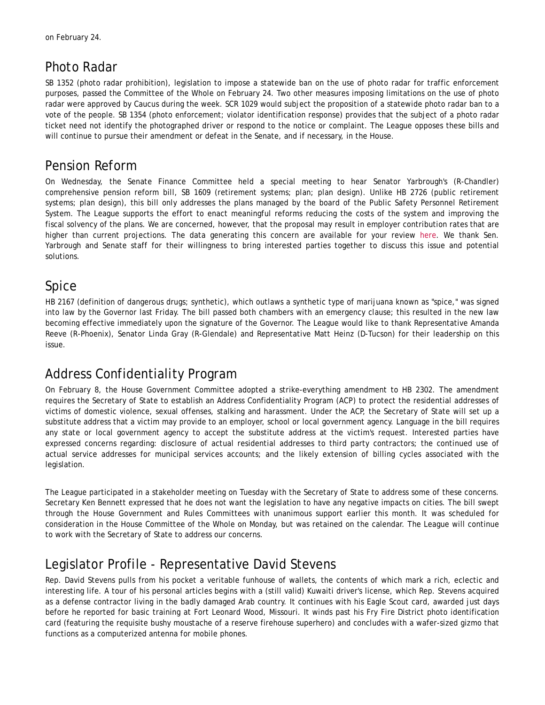## Photo Radar

SB 1352 (photo radar prohibition), legislation to impose a statewide ban on the use of photo radar for traffic enforcement purposes, passed the Committee of the Whole on February 24. Two other measures imposing limitations on the use of photo radar were approved by Caucus during the week. SCR 1029 would subject the proposition of a statewide photo radar ban to a vote of the people. SB 1354 (photo enforcement; violator identification response) provides that the subject of a photo radar ticket need not identify the photographed driver or respond to the notice or complaint. The League opposes these bills and will continue to pursue their amendment or defeat in the Senate, and if necessary, in the House.

## Pension Reform

On Wednesday, the Senate Finance Committee held a special meeting to hear Senator Yarbrough's (R-Chandler) comprehensive pension reform bill, SB 1609 (retirement systems; plan; plan design). Unlike HB 2726 (public retirement systems; plan design), this bill only addresses the plans managed by the board of the Public Safety Personnel Retirement System. The League supports the effort to enact meaningful reforms reducing the costs of the system and improving the fiscal solvency of the plans. We are concerned, however, that the proposal may result in employer contribution rates that are higher than current projections. The data generating this concern are available for your review here. We thank Sen. Yarbrough and Senate staff for their willingness to bring interested parties together to discuss this issue and potential solutions.

## Spice

HB 2167 (definition of dangerous drugs; synthetic), which outlaws a synthetic type of marijuana known as "spice," was signed into law by the Governor last Friday. The bill passed both chambers with an emergency clause; this resulted in the new law becoming effective immediately upon the signature of the Governor. The League would like to thank Representative Amanda Reeve (R-Phoenix), Senator Linda Gray (R-Glendale) and Representative Matt Heinz (D-Tucson) for their leadership on this issue.

## Address Confidentiality Program

On February 8, the House Government Committee adopted a strike-everything amendment to HB 2302. The amendment requires the Secretary of State to establish an Address Confidentiality Program (ACP) to protect the residential addresses of victims of domestic violence, sexual offenses, stalking and harassment. Under the ACP, the Secretary of State will set up a substitute address that a victim may provide to an employer, school or local government agency. Language in the bill requires any state or local government agency to accept the substitute address at the victim's request. Interested parties have expressed concerns regarding: disclosure of actual residential addresses to third party contractors; the continued use of actual service addresses for municipal services accounts; and the likely extension of billing cycles associated with the legislation.

The League participated in a stakeholder meeting on Tuesday with the Secretary of State to address some of these concerns. Secretary Ken Bennett expressed that he does not want the legislation to have any negative impacts on cities. The bill swept through the House Government and Rules Committees with unanimous support earlier this month. It was scheduled for consideration in the House Committee of the Whole on Monday, but was retained on the calendar. The League will continue to work with the Secretary of State to address our concerns.

## Legislator Profile - Representative David Stevens

Rep. David Stevens pulls from his pocket a veritable funhouse of wallets, the contents of which mark a rich, eclectic and interesting life. A tour of his personal articles begins with a (still valid) Kuwaiti driver's license, which Rep. Stevens acquired as a defense contractor living in the badly damaged Arab country. It continues with his Eagle Scout card, awarded just days before he reported for basic training at Fort Leonard Wood, Missouri. It winds past his Fry Fire District photo identification card (featuring the requisite bushy moustache of a reserve firehouse superhero) and concludes with a wafer-sized gizmo that functions as a computerized antenna for mobile phones.